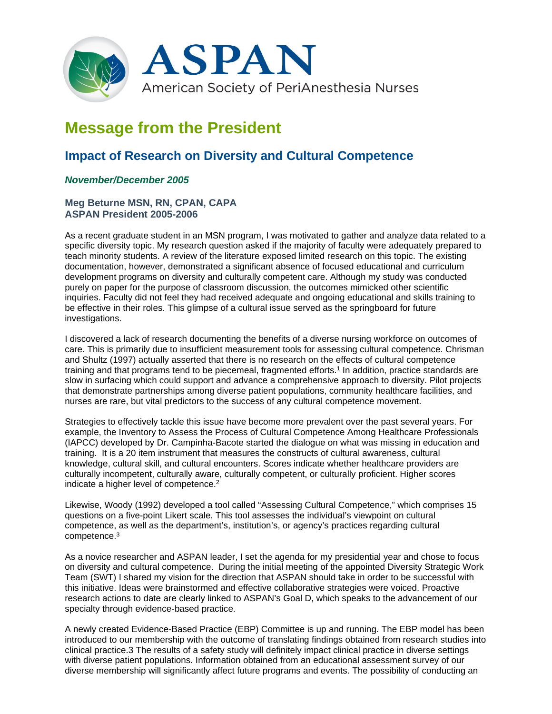

# **Message from the President**

# **Impact of Research on Diversity and Cultural Competence**

## *November/December 2005*

### **Meg Beturne MSN, RN, CPAN, CAPA ASPAN President 2005-2006**

As a recent graduate student in an MSN program, I was motivated to gather and analyze data related to a specific diversity topic. My research question asked if the majority of faculty were adequately prepared to teach minority students. A review of the literature exposed limited research on this topic. The existing documentation, however, demonstrated a significant absence of focused educational and curriculum development programs on diversity and culturally competent care. Although my study was conducted purely on paper for the purpose of classroom discussion, the outcomes mimicked other scientific inquiries. Faculty did not feel they had received adequate and ongoing educational and skills training to be effective in their roles. This glimpse of a cultural issue served as the springboard for future investigations.

I discovered a lack of research documenting the benefits of a diverse nursing workforce on outcomes of care. This is primarily due to insufficient measurement tools for assessing cultural competence. Chrisman and Shultz (1997) actually asserted that there is no research on the effects of cultural competence training and that programs tend to be piecemeal, fragmented efforts.<sup>1</sup> In addition, practice standards are slow in surfacing which could support and advance a comprehensive approach to diversity. Pilot projects that demonstrate partnerships among diverse patient populations, community healthcare facilities, and nurses are rare, but vital predictors to the success of any cultural competence movement.

Strategies to effectively tackle this issue have become more prevalent over the past several years. For example, the Inventory to Assess the Process of Cultural Competence Among Healthcare Professionals (IAPCC) developed by Dr. Campinha-Bacote started the dialogue on what was missing in education and training. It is a 20 item instrument that measures the constructs of cultural awareness, cultural knowledge, cultural skill, and cultural encounters. Scores indicate whether healthcare providers are culturally incompetent, culturally aware, culturally competent, or culturally proficient. Higher scores indicate a higher level of competence.2

Likewise, Woody (1992) developed a tool called "Assessing Cultural Competence," which comprises 15 questions on a five-point Likert scale. This tool assesses the individual's viewpoint on cultural competence, as well as the department's, institution's, or agency's practices regarding cultural competence.3

As a novice researcher and ASPAN leader, I set the agenda for my presidential year and chose to focus on diversity and cultural competence. During the initial meeting of the appointed Diversity Strategic Work Team (SWT) I shared my vision for the direction that ASPAN should take in order to be successful with this initiative. Ideas were brainstormed and effective collaborative strategies were voiced. Proactive research actions to date are clearly linked to ASPAN's Goal D, which speaks to the advancement of our specialty through evidence-based practice.

A newly created Evidence-Based Practice (EBP) Committee is up and running. The EBP model has been introduced to our membership with the outcome of translating findings obtained from research studies into clinical practice.3 The results of a safety study will definitely impact clinical practice in diverse settings with diverse patient populations. Information obtained from an educational assessment survey of our diverse membership will significantly affect future programs and events. The possibility of conducting an